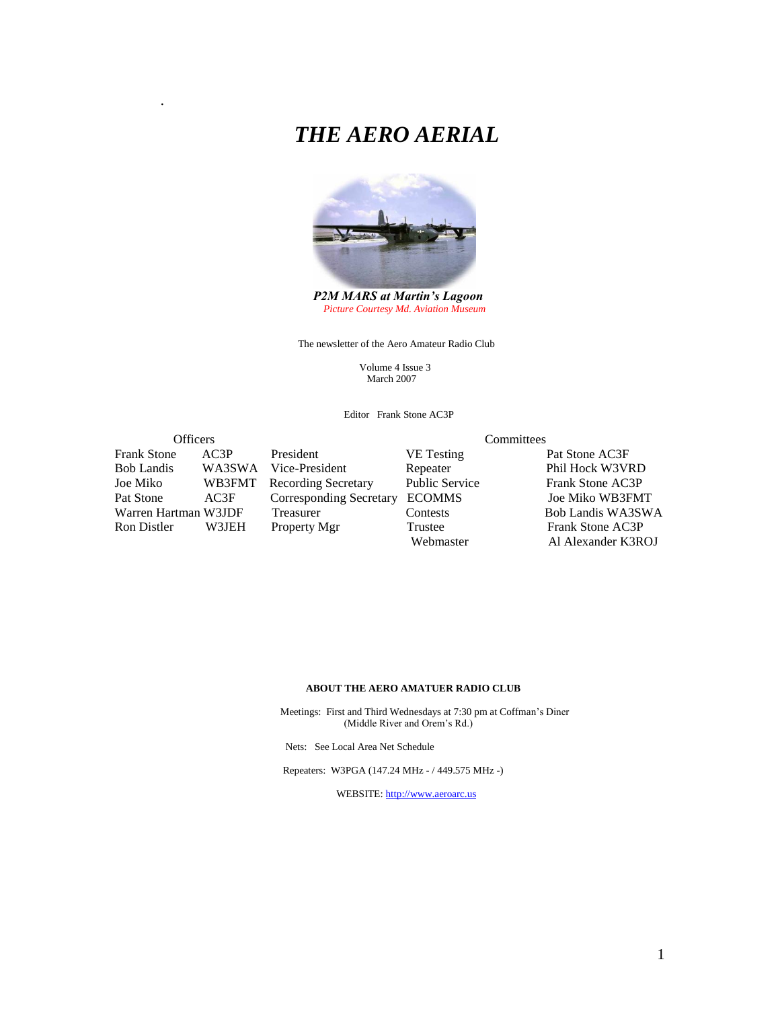# *THE AERO AERIAL*



 *P2M MARS at Martin's Lagoon Picture Courtesy Md. Aviation Museum*

The newsletter of the Aero Amateur Radio Club

 Volume 4 Issue 3 March 2007

Editor Frank Stone AC3P

### Officers Committees Frank Stone AC3P President VE Testing Pat Stone AC3F Bob Landis WA3SWA Vice-President Repeater Phil Hock W3VRD<br>
Joe Miko WB3FMT Recording Secretary Public Service Frank Stone AC3P Pat Stone AC3F Corresponding Secretary ECOMMS Joe Miko WB3FMT Warren Hartman W3JDF Treasurer Contests Bob Landis WA3SWA

.

Recording Secretary

# Frank Stone AC3P Webmaster Al Alexander K3ROJ

#### **ABOUT THE AERO AMATUER RADIO CLUB**

 Meetings: First and Third Wednesdays at 7:30 pm at Coffman's Diner (Middle River and Orem's Rd.)

Nets: See Local Area Net Schedule

Repeaters: W3PGA (147.24 MHz - / 449.575 MHz -)

WEBSITE: [http://www.aeroarc.us](http://www.aeroarc.us/)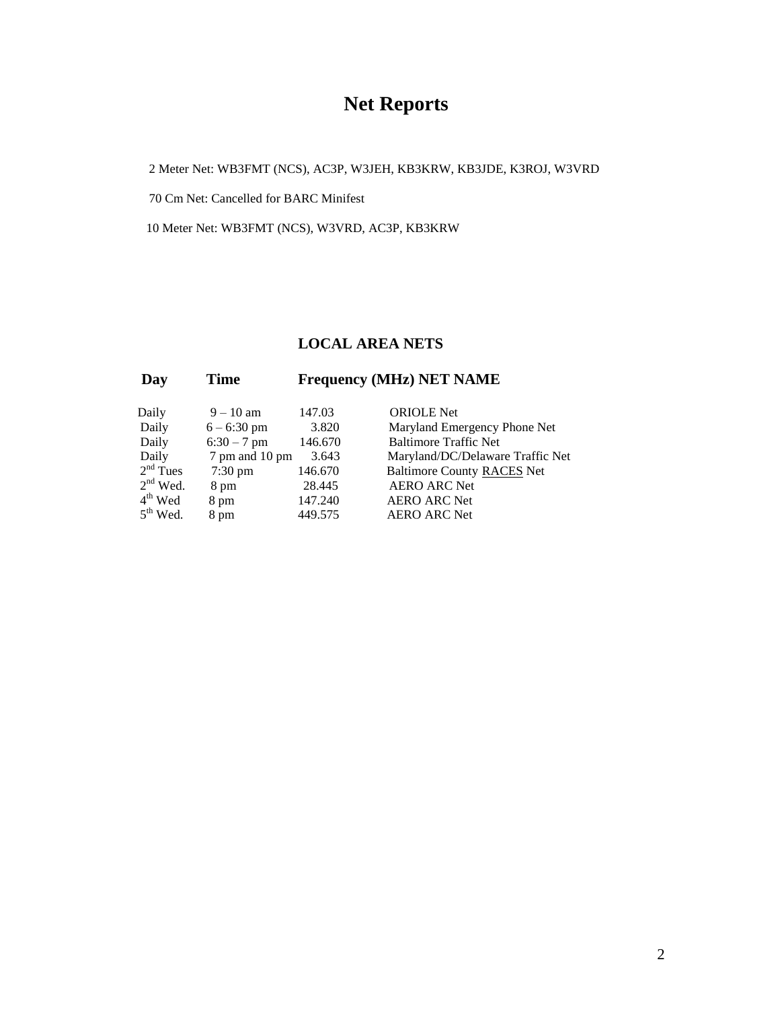# **Net Reports**

2 Meter Net: WB3FMT (NCS), AC3P, W3JEH, KB3KRW, KB3JDE, K3ROJ, W3VRD

70 Cm Net: Cancelled for BARC Minifest

10 Meter Net: WB3FMT (NCS), W3VRD, AC3P, KB3KRW

#### **LOCAL AREA NETS**

| Time<br>Day | <b>Frequency (MHz) NET NAME</b> |
|-------------|---------------------------------|
|-------------|---------------------------------|

| Daily      | $9 - 10$ am       | 147.03  | <b>ORIOLE</b> Net                 |
|------------|-------------------|---------|-----------------------------------|
| Daily      | $6 - 6:30$ pm     | 3.820   | Maryland Emergency Phone Net      |
| Daily      | $6:30 - 7$ pm     | 146.670 | <b>Baltimore Traffic Net</b>      |
| Daily      | 7 pm and 10 pm    | 3.643   | Maryland/DC/Delaware Traffic Net  |
| $2nd$ Tues | $7:30 \text{ pm}$ | 146.670 | <b>Baltimore County RACES Net</b> |
| $2nd$ Wed. | 8 pm              | 28.445  | <b>AERO ARC Net</b>               |
| $4th$ Wed  | 8 pm              | 147.240 | <b>AERO ARC Net</b>               |
| $5th$ Wed. | 8 pm              | 449.575 | <b>AERO ARC Net</b>               |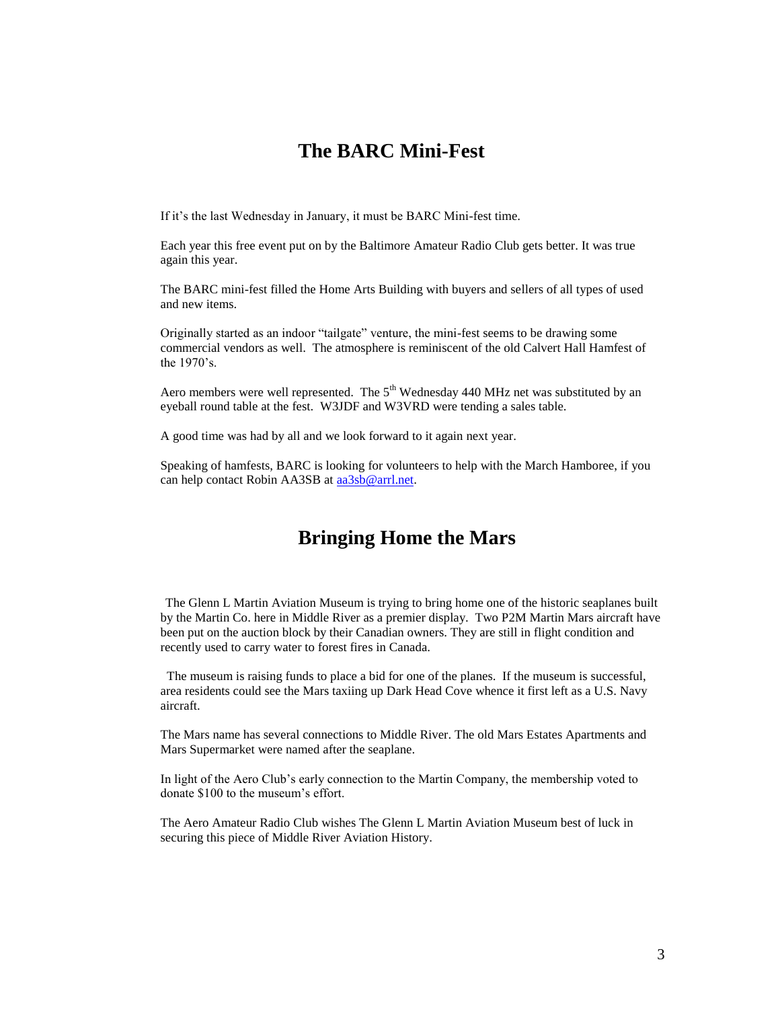### **The BARC Mini-Fest**

If it's the last Wednesday in January, it must be BARC Mini-fest time.

Each year this free event put on by the Baltimore Amateur Radio Club gets better. It was true again this year.

The BARC mini-fest filled the Home Arts Building with buyers and sellers of all types of used and new items.

Originally started as an indoor "tailgate" venture, the mini-fest seems to be drawing some commercial vendors as well. The atmosphere is reminiscent of the old Calvert Hall Hamfest of the 1970's.

Aero members were well represented. The  $5<sup>th</sup>$  Wednesday 440 MHz net was substituted by an eyeball round table at the fest. W3JDF and W3VRD were tending a sales table.

A good time was had by all and we look forward to it again next year.

Speaking of hamfests, BARC is looking for volunteers to help with the March Hamboree, if you can help contact Robin AA3SB at [aa3sb@arrl.net.](mailto:aa3sb@arrl.net)

# **Bringing Home the Mars**

The Glenn L Martin Aviation Museum is trying to bring home one of the historic seaplanes built by the Martin Co. here in Middle River as a premier display. Two P2M Martin Mars aircraft have been put on the auction block by their Canadian owners. They are still in flight condition and recently used to carry water to forest fires in Canada.

 The museum is raising funds to place a bid for one of the planes. If the museum is successful, area residents could see the Mars taxiing up Dark Head Cove whence it first left as a U.S. Navy aircraft.

The Mars name has several connections to Middle River. The old Mars Estates Apartments and Mars Supermarket were named after the seaplane.

In light of the Aero Club's early connection to the Martin Company, the membership voted to donate \$100 to the museum's effort.

The Aero Amateur Radio Club wishes The Glenn L Martin Aviation Museum best of luck in securing this piece of Middle River Aviation History.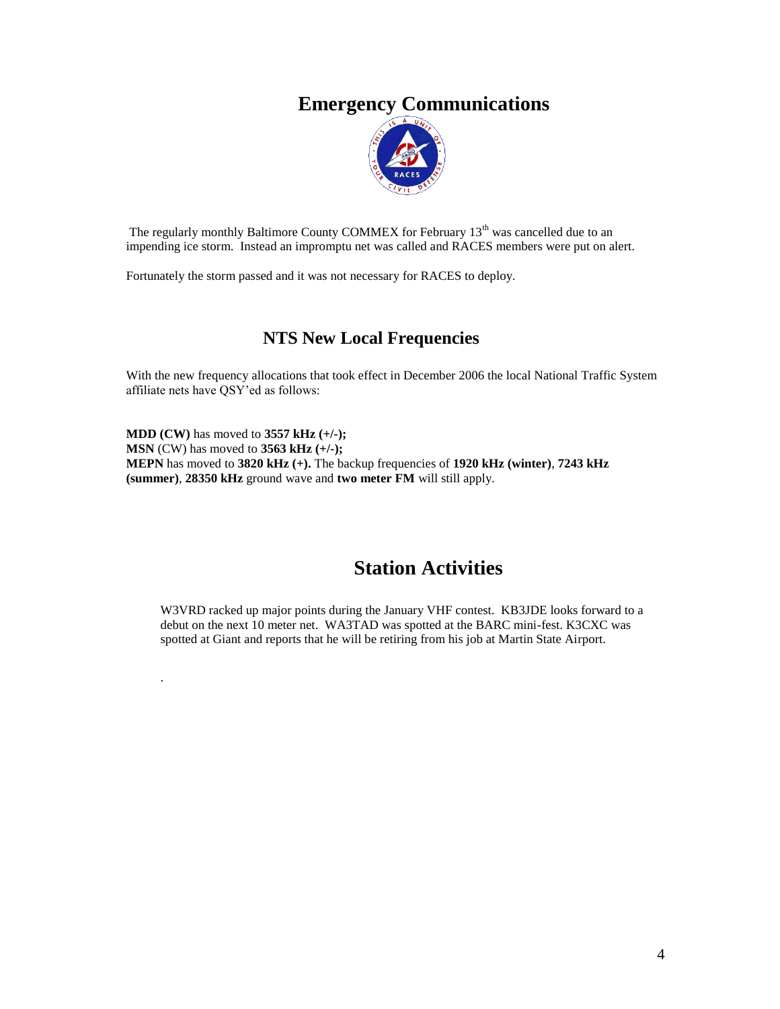## **Emergency Communications**



The regularly monthly Baltimore County COMMEX for February 13<sup>th</sup> was cancelled due to an impending ice storm. Instead an impromptu net was called and RACES members were put on alert.

Fortunately the storm passed and it was not necessary for RACES to deploy.

.  $\ddot{\phantom{0}}$ 

#### **NTS New Local Frequencies**

With the new frequency allocations that took effect in December 2006 the local National Traffic System affiliate nets have QSY'ed as follows:

**MDD (CW)** has moved to **3557 kHz (+/-); MSN** (CW) has moved to **3563 kHz (+/-); MEPN** has moved to **3820 kHz (+).** The backup frequencies of **1920 kHz (winter)**, **7243 kHz (summer)**, **28350 kHz** ground wave and **two meter FM** will still apply.

# **Station Activities**

W3VRD racked up major points during the January VHF contest. KB3JDE looks forward to a debut on the next 10 meter net. WA3TAD was spotted at the BARC mini-fest. K3CXC was spotted at Giant and reports that he will be retiring from his job at Martin State Airport.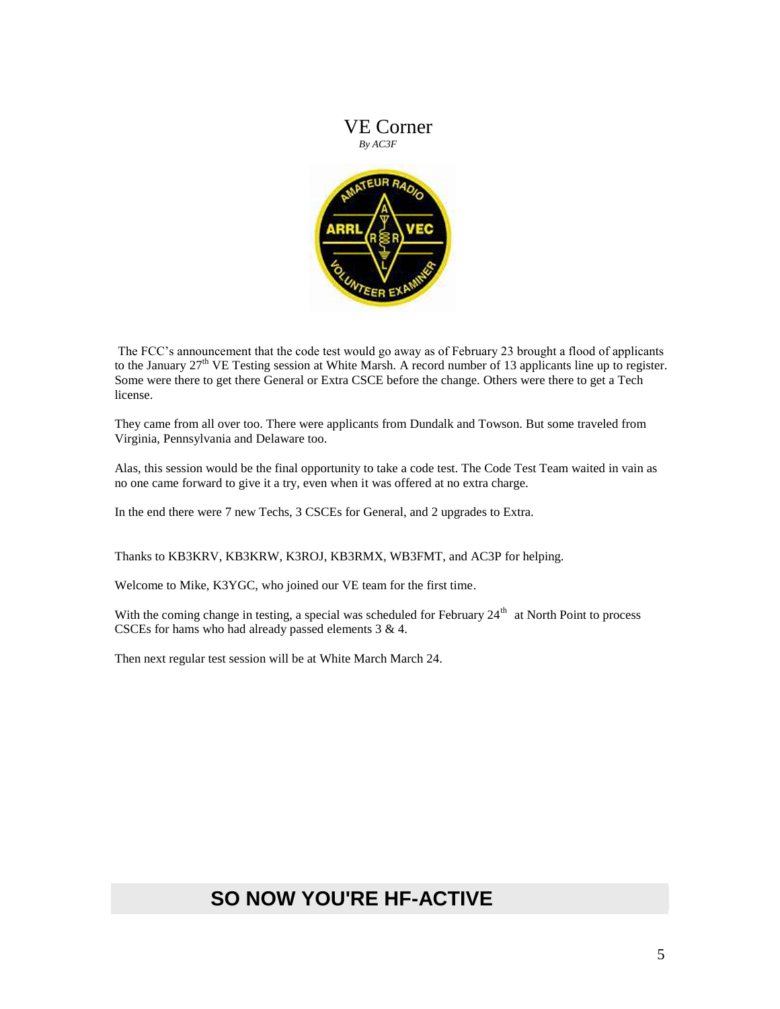

The FCC's announcement that the code test would go away as of February 23 brought a flood of applicants to the January  $27<sup>th</sup>$  VE Testing session at White Marsh. A record number of 13 applicants line up to register. Some were there to get there General or Extra CSCE before the change. Others were there to get a Tech license.

They came from all over too. There were applicants from Dundalk and Towson. But some traveled from Virginia, Pennsylvania and Delaware too.

Alas, this session would be the final opportunity to take a code test. The Code Test Team waited in vain as no one came forward to give it a try, even when it was offered at no extra charge.

In the end there were 7 new Techs, 3 CSCEs for General, and 2 upgrades to Extra.

Thanks to KB3KRV, KB3KRW, K3ROJ, KB3RMX, WB3FMT, and AC3P for helping.

Welcome to Mike, K3YGC, who joined our VE team for the first time.

With the coming change in testing, a special was scheduled for February  $24<sup>th</sup>$  at North Point to process CSCEs for hams who had already passed elements 3 & 4.

Then next regular test session will be at White March March 24.

# **SO NOW YOU'RE HF-ACTIVE**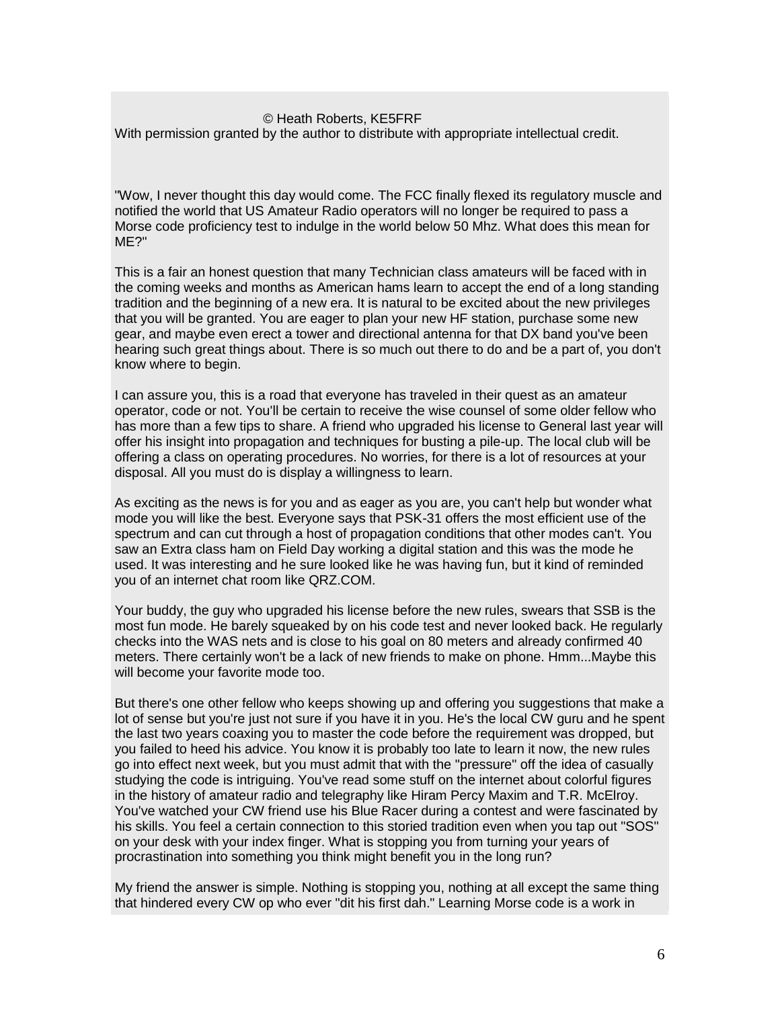#### © Heath Roberts, KE5FRF

With permission granted by the author to distribute with appropriate intellectual credit.

"Wow, I never thought this day would come. The FCC finally flexed its regulatory muscle and notified the world that US Amateur Radio operators will no longer be required to pass a Morse code proficiency test to indulge in the world below 50 Mhz. What does this mean for ME?"

This is a fair an honest question that many Technician class amateurs will be faced with in the coming weeks and months as American hams learn to accept the end of a long standing tradition and the beginning of a new era. It is natural to be excited about the new privileges that you will be granted. You are eager to plan your new HF station, purchase some new gear, and maybe even erect a tower and directional antenna for that DX band you've been hearing such great things about. There is so much out there to do and be a part of, you don't know where to begin.

I can assure you, this is a road that everyone has traveled in their quest as an amateur operator, code or not. You'll be certain to receive the wise counsel of some older fellow who has more than a few tips to share. A friend who upgraded his license to General last year will offer his insight into propagation and techniques for busting a pile-up. The local club will be offering a class on operating procedures. No worries, for there is a lot of resources at your disposal. All you must do is display a willingness to learn.

As exciting as the news is for you and as eager as you are, you can't help but wonder what mode you will like the best. Everyone says that PSK-31 offers the most efficient use of the spectrum and can cut through a host of propagation conditions that other modes can't. You saw an Extra class ham on Field Day working a digital station and this was the mode he used. It was interesting and he sure looked like he was having fun, but it kind of reminded you of an internet chat room like QRZ.COM.

Your buddy, the guy who upgraded his license before the new rules, swears that SSB is the most fun mode. He barely squeaked by on his code test and never looked back. He regularly checks into the WAS nets and is close to his goal on 80 meters and already confirmed 40 meters. There certainly won't be a lack of new friends to make on phone. Hmm...Maybe this will become your favorite mode too.

But there's one other fellow who keeps showing up and offering you suggestions that make a lot of sense but you're just not sure if you have it in you. He's the local CW guru and he spent the last two years coaxing you to master the code before the requirement was dropped, but you failed to heed his advice. You know it is probably too late to learn it now, the new rules go into effect next week, but you must admit that with the "pressure" off the idea of casually studying the code is intriguing. You've read some stuff on the internet about colorful figures in the history of amateur radio and telegraphy like Hiram Percy Maxim and T.R. McElroy. You've watched your CW friend use his Blue Racer during a contest and were fascinated by his skills. You feel a certain connection to this storied tradition even when you tap out "SOS" on your desk with your index finger. What is stopping you from turning your years of procrastination into something you think might benefit you in the long run?

My friend the answer is simple. Nothing is stopping you, nothing at all except the same thing that hindered every CW op who ever "dit his first dah." Learning Morse code is a work in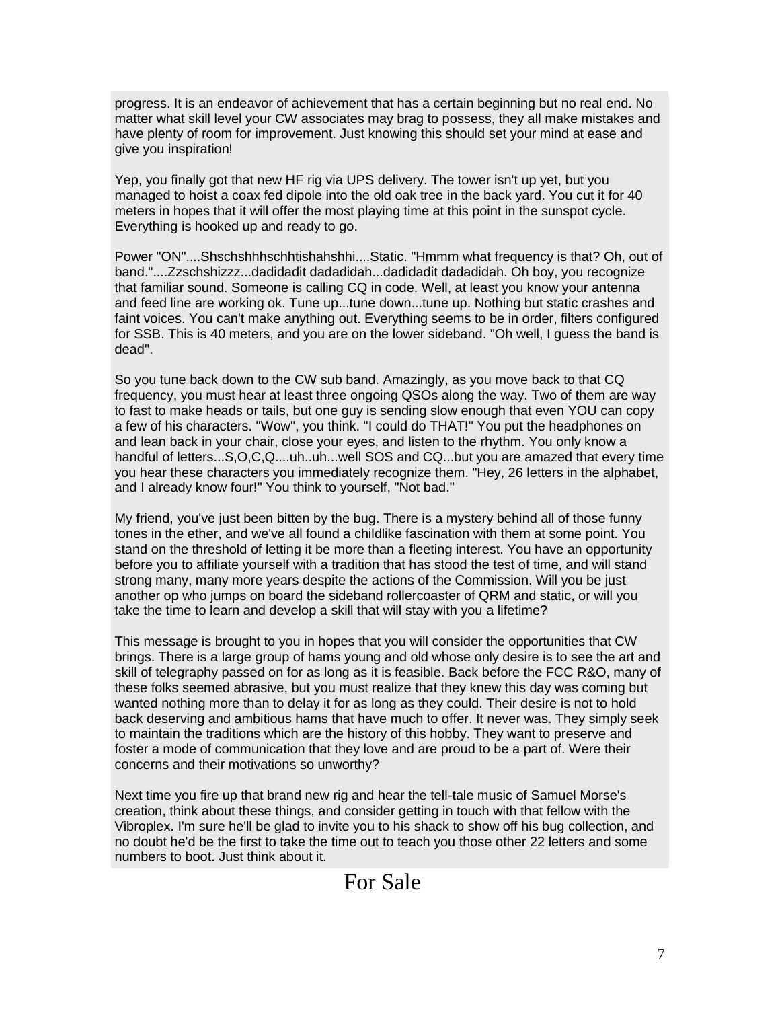progress. It is an endeavor of achievement that has a certain beginning but no real end. No matter what skill level your CW associates may brag to possess, they all make mistakes and have plenty of room for improvement. Just knowing this should set your mind at ease and give you inspiration!

Yep, you finally got that new HF rig via UPS delivery. The tower isn't up yet, but you managed to hoist a coax fed dipole into the old oak tree in the back yard. You cut it for 40 meters in hopes that it will offer the most playing time at this point in the sunspot cycle. Everything is hooked up and ready to go.

Power "ON"....Shschshhhschhtishahshhi....Static. "Hmmm what frequency is that? Oh, out of band."....Zzschshizzz...dadidadit dadadidah...dadidadit dadadidah. Oh boy, you recognize that familiar sound. Someone is calling CQ in code. Well, at least you know your antenna and feed line are working ok. Tune up...tune down...tune up. Nothing but static crashes and faint voices. You can't make anything out. Everything seems to be in order, filters configured for SSB. This is 40 meters, and you are on the lower sideband. "Oh well, I guess the band is dead".

So you tune back down to the CW sub band. Amazingly, as you move back to that CQ frequency, you must hear at least three ongoing QSOs along the way. Two of them are way to fast to make heads or tails, but one guy is sending slow enough that even YOU can copy a few of his characters. "Wow", you think. "I could do THAT!" You put the headphones on and lean back in your chair, close your eyes, and listen to the rhythm. You only know a handful of letters...S,O,C,Q....uh..uh...well SOS and CQ...but you are amazed that every time you hear these characters you immediately recognize them. "Hey, 26 letters in the alphabet, and I already know four!" You think to yourself, "Not bad."

My friend, you've just been bitten by the bug. There is a mystery behind all of those funny tones in the ether, and we've all found a childlike fascination with them at some point. You stand on the threshold of letting it be more than a fleeting interest. You have an opportunity before you to affiliate yourself with a tradition that has stood the test of time, and will stand strong many, many more years despite the actions of the Commission. Will you be just another op who jumps on board the sideband rollercoaster of QRM and static, or will you take the time to learn and develop a skill that will stay with you a lifetime?

This message is brought to you in hopes that you will consider the opportunities that CW brings. There is a large group of hams young and old whose only desire is to see the art and skill of telegraphy passed on for as long as it is feasible. Back before the FCC R&O, many of these folks seemed abrasive, but you must realize that they knew this day was coming but wanted nothing more than to delay it for as long as they could. Their desire is not to hold back deserving and ambitious hams that have much to offer. It never was. They simply seek to maintain the traditions which are the history of this hobby. They want to preserve and foster a mode of communication that they love and are proud to be a part of. Were their concerns and their motivations so unworthy?

Next time you fire up that brand new rig and hear the tell-tale music of Samuel Morse's creation, think about these things, and consider getting in touch with that fellow with the Vibroplex. I'm sure he'll be glad to invite you to his shack to show off his bug collection, and no doubt he'd be the first to take the time out to teach you those other 22 letters and some numbers to boot. Just think about it.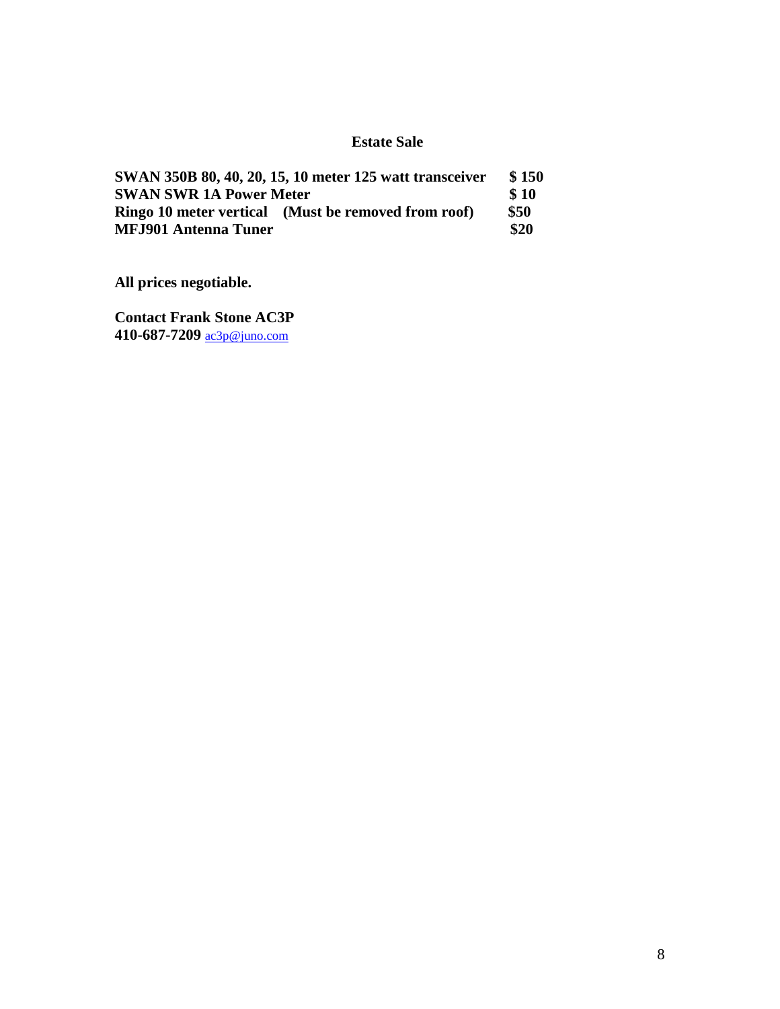#### **Estate Sale**

| SWAN 350B 80, 40, 20, 15, 10 meter 125 watt transceiver | \$150 |
|---------------------------------------------------------|-------|
| <b>SWAN SWR 1A Power Meter</b>                          |       |
| Ringo 10 meter vertical (Must be removed from roof)     | \$50  |
| <b>MFJ901 Antenna Tuner</b>                             | \$20  |

**All prices negotiable.**

**Contact Frank Stone AC3P 410-687-7209** [ac3p@juno.com](mailto:ac3p@juno.com)